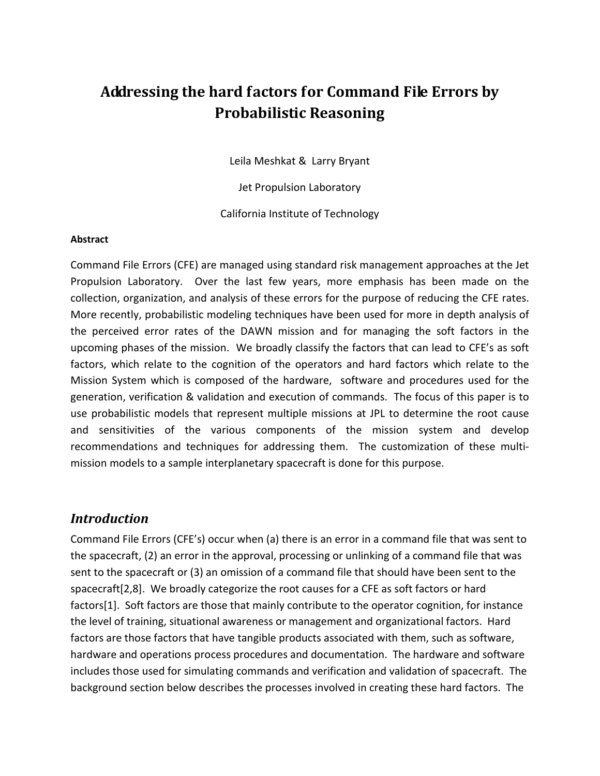# **Addressing the hard factors for Command File Errors by Probabilistic Reasoning**

Leila Meshkat & Larry Bryant

Jet Propulsion Laboratory

California Institute of Technology

#### **Abstract**

Command File Errors (CFE) are managed using standard risk management approaches at the Jet Propulsion Laboratory. Over the last few years, more emphasis has been made on the collection, organization, and analysis of these errors for the purpose of reducing the CFE rates. More recently, probabilistic modeling techniques have been used for more in depth analysis of the perceived error rates of the DAWN mission and for managing the soft factors in the upcoming phases of the mission. We broadly classify the factors that can lead to CFE's as soft factors, which relate to the cognition of the operators and hard factors which relate to the Mission System which is composed of the hardware, software and procedures used for the generation, verification & validation and execution of commands. The focus of this paper is to use probabilistic models that represent multiple missions at JPL to determine the root cause and sensitivities of the various components of the mission system and develop recommendations and techniques for addressing them. The customization of these multimission models to a sample interplanetary spacecraft is done for this purpose.

#### *Introduction*

Command File Errors (CFE's) occur when (a) there is an error in a command file that was sent to the spacecraft, (2) an error in the approval, processing or unlinking of a command file that was sent to the spacecraft or (3) an omission of a command file that should have been sent to the spacecraft[2,8]. We broadly categorize the root causes for a CFE as soft factors or hard factors[1]. Soft factors are those that mainly contribute to the operator cognition, for instance the level of training, situational awareness or management and organizational factors. Hard factors are those factors that have tangible products associated with them, such as software, hardware and operations process procedures and documentation. The hardware and software includes those used for simulating commands and verification and validation of spacecraft. The background section below describes the processes involved in creating these hard factors. The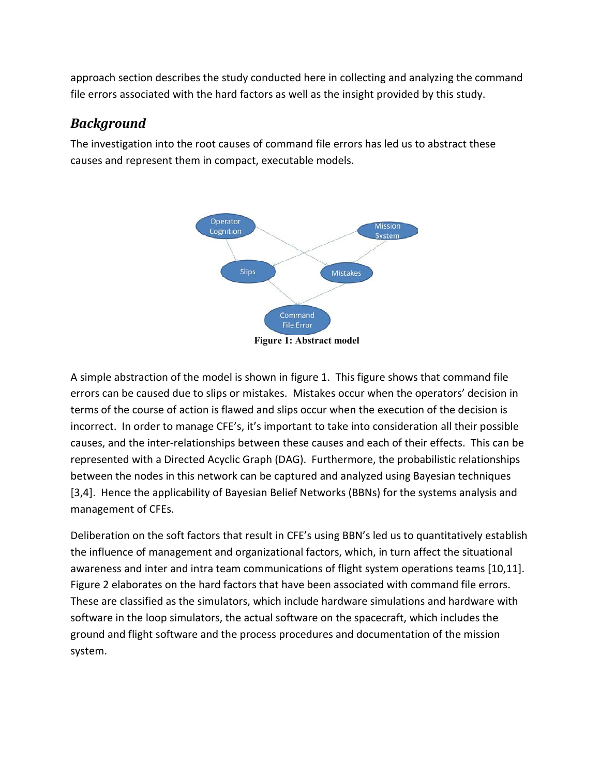approach section describes the study conducted here in collecting and analyzing the command file errors associated with the hard factors as well as the insight provided by this study.

# *Background*

The investigation into the root causes of command file errors has led us to abstract these causes and represent them in compact, executable models.



A simple abstraction of the model is shown in figure 1. This figure shows that command file errors can be caused due to slips or mistakes. Mistakes occur when the operators' decision in terms of the course of action is flawed and slips occur when the execution of the decision is incorrect. In order to manage CFE's, it's important to take into consideration all their possible causes, and the inter-relationships between these causes and each of their effects. This can be represented with a Directed Acyclic Graph (DAG). Furthermore, the probabilistic relationships between the nodes in this network can be captured and analyzed using Bayesian techniques [3,4]. Hence the applicability of Bayesian Belief Networks (BBNs) for the systems analysis and management of CFEs.

Deliberation on the soft factors that result in CFE's using BBN's led us to quantitatively establish the influence of management and organizational factors, which, in turn affect the situational awareness and inter and intra team communications of flight system operations teams [10,11]. Figure 2 elaborates on the hard factors that have been associated with command file errors. These are classified as the simulators, which include hardware simulations and hardware with software in the loop simulators, the actual software on the spacecraft, which includes the ground and flight software and the process procedures and documentation of the mission system.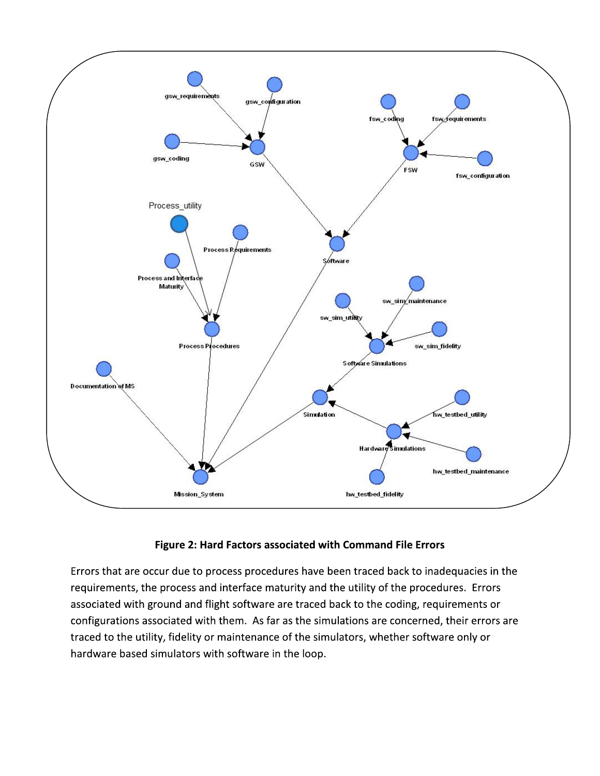

#### Figure 2: Hard Factors associated with Command File Errors

Errors that are occur due to process procedures have been traced back to inadequacies in the requirements, the process and interface maturity and the utility of the procedures. Errors associated with ground and flight software are traced back to the coding, requirements or configurations associated with them. As far as the simulations are concerned, their errors are traced to the utility, fidelity or maintenance of the simulators, whether software only or hardware based simulators with software in the loop.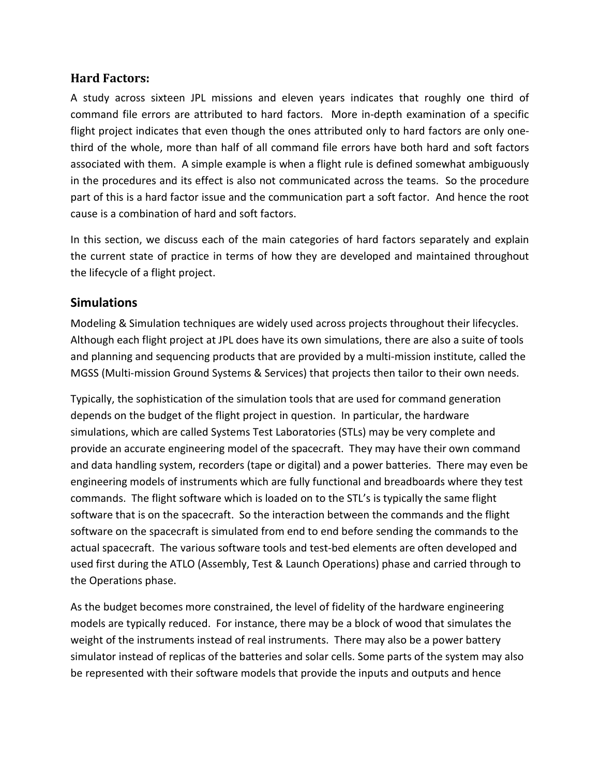#### **Hard Factors:**

A study across sixteen JPL missions and eleven years indicates that roughly one third of command file errors are attributed to hard factors. More in-depth examination of a specific flight project indicates that even though the ones attributed only to hard factors are only onethird of the whole, more than half of all command file errors have both hard and soft factors associated with them. A simple example is when a flight rule is defined somewhat ambiguously in the procedures and its effect is also not communicated across the teams. So the procedure part of this is a hard factor issue and the communication part a soft factor. And hence the root cause is a combination of hard and soft factors.

In this section, we discuss each of the main categories of hard factors separately and explain the current state of practice in terms of how they are developed and maintained throughout the lifecycle of a flight project.

#### **Simulations**

Modeling & Simulation techniques are widely used across projects throughout their lifecycles. Although each flight project at JPL does have its own simulations, there are also a suite of tools and planning and sequencing products that are provided by a multi-mission institute, called the MGSS (Multi-mission Ground Systems & Services) that projects then tailor to their own needs.

Typically, the sophistication of the simulation tools that are used for command generation depends on the budget of the flight project in question. In particular, the hardware simulations, which are called Systems Test Laboratories (STLs) may be very complete and provide an accurate engineering model of the spacecraft. They may have their own command and data handling system, recorders (tape or digital) and a power batteries. There may even be engineering models of instruments which are fully functional and breadboards where they test commands. The flight software which is loaded on to the STL's is typically the same flight software that is on the spacecraft. So the interaction between the commands and the flight software on the spacecraft is simulated from end to end before sending the commands to the actual spacecraft. The various software tools and test-bed elements are often developed and used first during the ATLO (Assembly, Test & Launch Operations) phase and carried through to the Operations phase.

As the budget becomes more constrained, the level of fidelity of the hardware engineering models are typically reduced. For instance, there may be a block of wood that simulates the weight of the instruments instead of real instruments. There may also be a power battery simulator instead of replicas of the batteries and solar cells. Some parts of the system may also be represented with their software models that provide the inputs and outputs and hence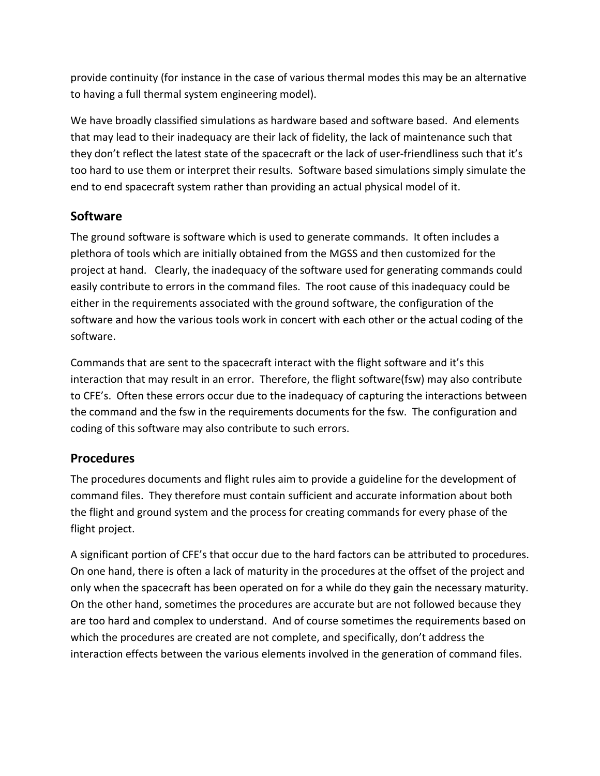provide continuity (for instance in the case of various thermal modes this may be an alternative to having a full thermal system engineering model).

We have broadly classified simulations as hardware based and software based. And elements that may lead to their inadequacy are their lack of fidelity, the lack of maintenance such that they don't reflect the latest state of the spacecraft or the lack of user-friendliness such that it's too hard to use them or interpret their results. Software based simulations simply simulate the end to end spacecraft system rather than providing an actual physical model of it.

### **Software**

The ground software is software which is used to generate commands. It often includes a plethora of tools which are initially obtained from the MGSS and then customized for the project at hand. Clearly, the inadequacy of the software used for generating commands could easily contribute to errors in the command files. The root cause of this inadequacy could be either in the requirements associated with the ground software, the configuration of the software and how the various tools work in concert with each other or the actual coding of the software.

Commands that are sent to the spacecraft interact with the flight software and it's this interaction that may result in an error. Therefore, the flight software(fsw) may also contribute to CFE's. Often these errors occur due to the inadequacy of capturing the interactions between the command and the fsw in the requirements documents for the fsw. The configuration and coding of this software may also contribute to such errors.

# **Procedures**

The procedures documents and flight rules aim to provide a guideline for the development of command files. They therefore must contain sufficient and accurate information about both the flight and ground system and the process for creating commands for every phase of the flight project.

A significant portion of CFE's that occur due to the hard factors can be attributed to procedures. On one hand, there is often a lack of maturity in the procedures at the offset of the project and only when the spacecraft has been operated on for a while do they gain the necessary maturity. On the other hand, sometimes the procedures are accurate but are not followed because they are too hard and complex to understand. And of course sometimes the requirements based on which the procedures are created are not complete, and specifically, don't address the interaction effects between the various elements involved in the generation of command files.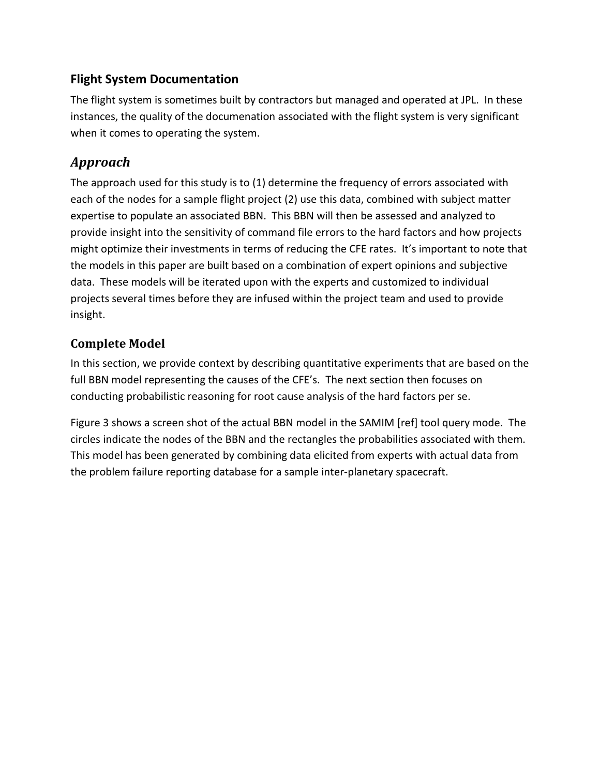### **Flight System Documentation**

The flight system is sometimes built by contractors but managed and operated at JPL. In these instances, the quality of the documenation associated with the flight system is very significant when it comes to operating the system.

# *Approach*

The approach used for this study is to (1) determine the frequency of errors associated with each of the nodes for a sample flight project (2) use this data, combined with subject matter expertise to populate an associated BBN. This BBN will then be assessed and analyzed to provide insight into the sensitivity of command file errors to the hard factors and how projects might optimize their investments in terms of reducing the CFE rates. It's important to note that the models in this paper are built based on a combination of expert opinions and subjective data. These models will be iterated upon with the experts and customized to individual projects several times before they are infused within the project team and used to provide insight.

## **Complete Model**

In this section, we provide context by describing quantitative experiments that are based on the full BBN model representing the causes of the CFE's. The next section then focuses on conducting probabilistic reasoning for root cause analysis of the hard factors per se.

Figure 3 shows a screen shot of the actual BBN model in the SAMIM [ref] tool query mode. The circles indicate the nodes of the BBN and the rectangles the probabilities associated with them. This model has been generated by combining data elicited from experts with actual data from the problem failure reporting database for a sample inter-planetary spacecraft.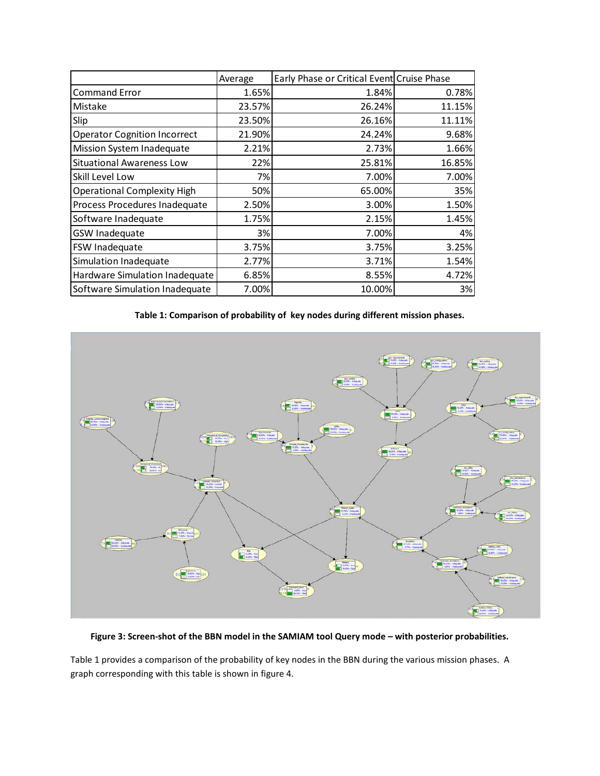|                                     | Average | Early Phase or Critical Event Cruise Phase |        |
|-------------------------------------|---------|--------------------------------------------|--------|
| <b>Command Error</b>                | 1.65%   | 1.84%                                      | 0.78%  |
| Mistake                             | 23.57%  | 26.24%                                     | 11.15% |
| Slip                                | 23.50%  | 26.16%                                     | 11.11% |
| <b>Operator Cognition Incorrect</b> | 21.90%  | 24.24%                                     | 9.68%  |
| Mission System Inadequate           | 2.21%   | 2.73%                                      | 1.66%  |
| <b>Situational Awareness Low</b>    | 22%     | 25.81%                                     | 16.85% |
| Skill Level Low                     | 7%      | 7.00%                                      | 7.00%  |
| <b>Operational Complexity High</b>  | 50%     | 65.00%                                     | 35%    |
| Process Procedures Inadequate       | 2.50%   | 3.00%                                      | 1.50%  |
| Software Inadequate                 | 1.75%   | 2.15%                                      | 1.45%  |
| <b>GSW Inadequate</b>               | 3%      | 7.00%                                      | 4%     |
| FSW Inadequate                      | 3.75%   | 3.75%                                      | 3.25%  |
| Simulation Inadequate               | 2.77%   | 3.71%                                      | 1.54%  |
| Hardware Simulation Inadequate      | 6.85%   | 8.55%                                      | 4.72%  |
| Software Simulation Inadequate      | 7.00%   | 10.00%                                     | 3%     |

**Table 1: Comparison of probability of key nodes during different mission phases.**



#### **Figure 3: Screen-shot of the BBN model in the SAMIAM tool Query mode – with posterior probabilities.**

Table 1 provides a comparison of the probability of key nodes in the BBN during the various mission phases. A graph corresponding with this table is shown in figure 4.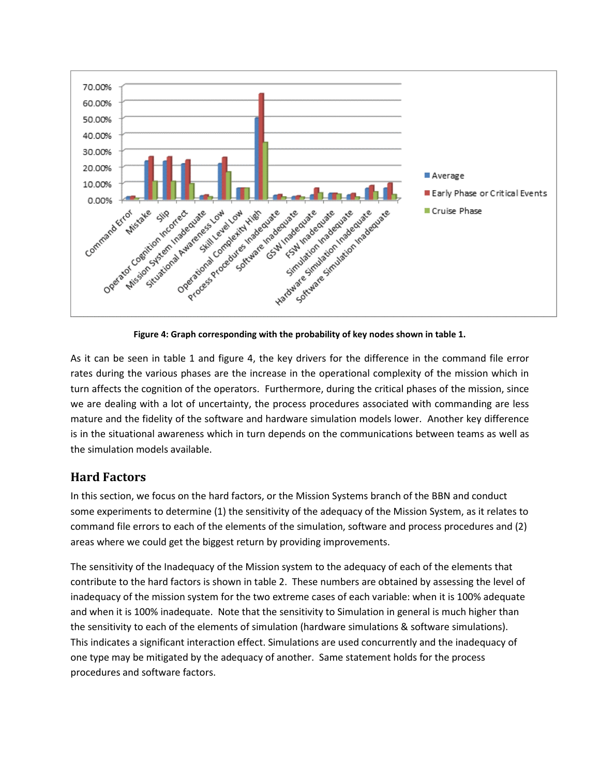

**Figure 4: Graph corresponding with the probability of key nodes shown in table 1.**

As it can be seen in table 1 and figure 4, the key drivers for the difference in the command file error rates during the various phases are the increase in the operational complexity of the mission which in turn affects the cognition of the operators. Furthermore, during the critical phases of the mission, since we are dealing with a lot of uncertainty, the process procedures associated with commanding are less mature and the fidelity of the software and hardware simulation models lower. Another key difference is in the situational awareness which in turn depends on the communications between teams as well as the simulation models available.

#### **Hard Factors**

In this section, we focus on the hard factors, or the Mission Systems branch of the BBN and conduct some experiments to determine (1) the sensitivity of the adequacy of the Mission System, as it relates to command file errors to each of the elements of the simulation, software and process procedures and (2) areas where we could get the biggest return by providing improvements.

The sensitivity of the Inadequacy of the Mission system to the adequacy of each of the elements that contribute to the hard factors is shown in table 2. These numbers are obtained by assessing the level of inadequacy of the mission system for the two extreme cases of each variable: when it is 100% adequate and when it is 100% inadequate. Note that the sensitivity to Simulation in general is much higher than the sensitivity to each of the elements of simulation (hardware simulations & software simulations). This indicates a significant interaction effect. Simulations are used concurrently and the inadequacy of one type may be mitigated by the adequacy of another. Same statement holds for the process procedures and software factors.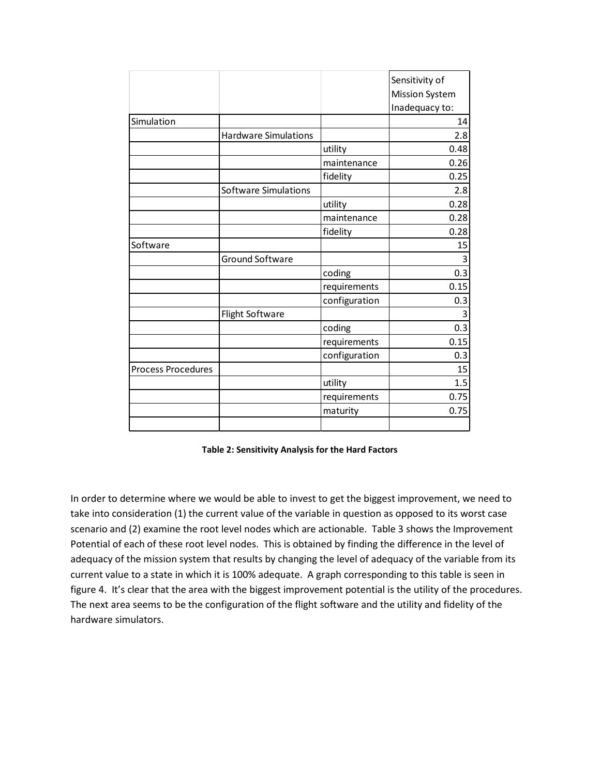|                           |                             |               | Sensitivity of<br>Mission System |
|---------------------------|-----------------------------|---------------|----------------------------------|
|                           |                             |               | Inadequacy to:                   |
| Simulation                |                             |               | 14                               |
|                           | <b>Hardware Simulations</b> |               | 2.8                              |
|                           |                             | utility       | 0.48                             |
|                           |                             | maintenance   | 0.26                             |
|                           |                             | fidelity      | 0.25                             |
|                           | <b>Software Simulations</b> |               | 2.8                              |
|                           |                             | utility       | 0.28                             |
|                           |                             | maintenance   | 0.28                             |
|                           |                             | fidelity      | 0.28                             |
| Software                  |                             |               | 15                               |
|                           | <b>Ground Software</b>      |               | 3                                |
|                           |                             | coding        | 0.3                              |
|                           |                             | requirements  | 0.15                             |
|                           |                             | configuration | 0.3                              |
|                           | Flight Software             |               | 3                                |
|                           |                             | coding        | 0.3                              |
|                           |                             | requirements  | 0.15                             |
|                           |                             | configuration | 0.3                              |
| <b>Process Procedures</b> |                             |               | 15                               |
|                           |                             | utility       | 1.5                              |
|                           |                             | requirements  | 0.75                             |
|                           |                             | maturity      | 0.75                             |
|                           |                             |               |                                  |

|  |  | Table 2: Sensitivity Analysis for the Hard Factors |  |  |  |  |
|--|--|----------------------------------------------------|--|--|--|--|
|--|--|----------------------------------------------------|--|--|--|--|

In order to determine where we would be able to invest to get the biggest improvement, we need to take into consideration (1) the current value of the variable in question as opposed to its worst case scenario and (2) examine the root level nodes which are actionable. Table 3 shows the Improvement Potential of each of these root level nodes. This is obtained by finding the difference in the level of adequacy of the mission system that results by changing the level of adequacy of the variable from its current value to a state in which it is 100% adequate. A graph corresponding to this table is seen in figure 4. It's clear that the area with the biggest improvement potential is the utility of the procedures. The next area seems to be the configuration of the flight software and the utility and fidelity of the hardware simulators.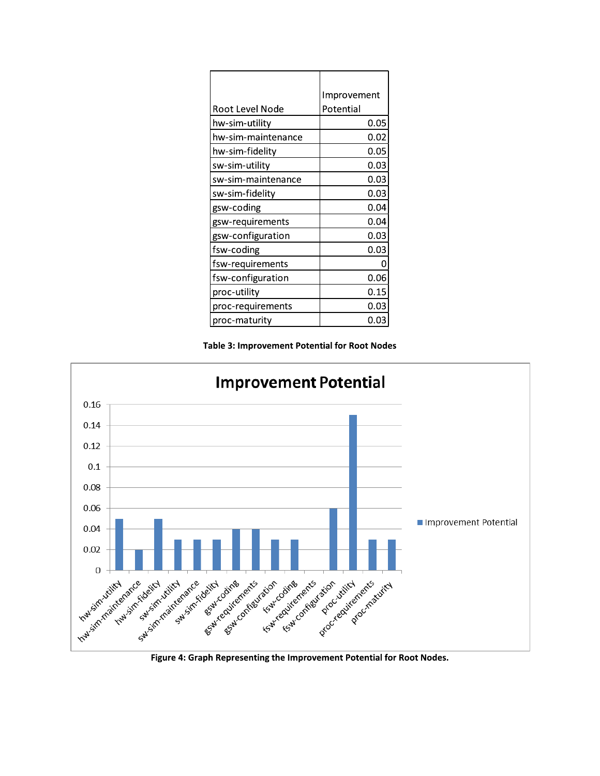|                    | Improvement |
|--------------------|-------------|
| Root Level Node    | Potential   |
| hw-sim-utility     | 0.05        |
| hw-sim-maintenance | 0.02        |
| hw-sim-fidelity    | 0.05        |
| sw-sim-utility     | 0.03        |
| sw-sim-maintenance | 0.03        |
| sw-sim-fidelity    | 0.03        |
| gsw-coding         | 0.04        |
| gsw-requirements   | 0.04        |
| gsw-configuration  | 0.03        |
| fsw-coding         | 0.03        |
| fsw-requirements   | Ω           |
| fsw-configuration  | 0.06        |
| proc-utility       | 0.15        |
| proc-requirements  | 0.03        |
| proc-maturity      | 0.03        |

**Table 3: Improvement Potential for Root Nodes** 



Figure 4: Graph Representing the Improvement Potential for Root Nodes.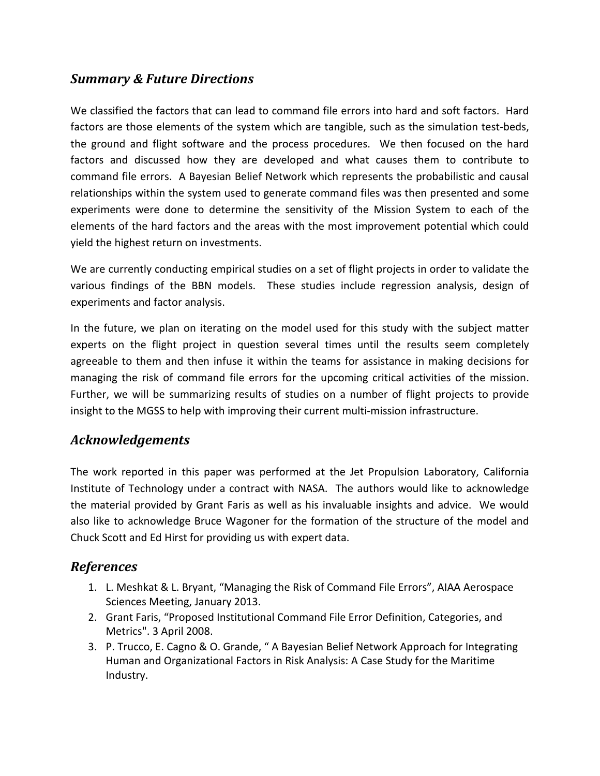# *Summary & Future Directions*

We classified the factors that can lead to command file errors into hard and soft factors. Hard factors are those elements of the system which are tangible, such as the simulation test-beds, the ground and flight software and the process procedures. We then focused on the hard factors and discussed how they are developed and what causes them to contribute to command file errors. A Bayesian Belief Network which represents the probabilistic and causal relationships within the system used to generate command files was then presented and some experiments were done to determine the sensitivity of the Mission System to each of the elements of the hard factors and the areas with the most improvement potential which could yield the highest return on investments.

We are currently conducting empirical studies on a set of flight projects in order to validate the various findings of the BBN models. These studies include regression analysis, design of experiments and factor analysis.

In the future, we plan on iterating on the model used for this study with the subject matter experts on the flight project in question several times until the results seem completely agreeable to them and then infuse it within the teams for assistance in making decisions for managing the risk of command file errors for the upcoming critical activities of the mission. Further, we will be summarizing results of studies on a number of flight projects to provide insight to the MGSS to help with improving their current multi-mission infrastructure.

### *Acknowledgements*

The work reported in this paper was performed at the Jet Propulsion Laboratory, California Institute of Technology under a contract with NASA. The authors would like to acknowledge the material provided by Grant Faris as well as his invaluable insights and advice. We would also like to acknowledge Bruce Wagoner for the formation of the structure of the model and Chuck Scott and Ed Hirst for providing us with expert data.

### *References*

- 1. L. Meshkat & L. Bryant, "Managing the Risk of Command File Errors", AIAA Aerospace Sciences Meeting, January 2013.
- 2. Grant Faris, "Proposed Institutional Command File Error Definition, Categories, and Metrics". 3 April 2008.
- 3. P. Trucco, E. Cagno & O. Grande, " A Bayesian Belief Network Approach for Integrating Human and Organizational Factors in Risk Analysis: A Case Study for the Maritime Industry.